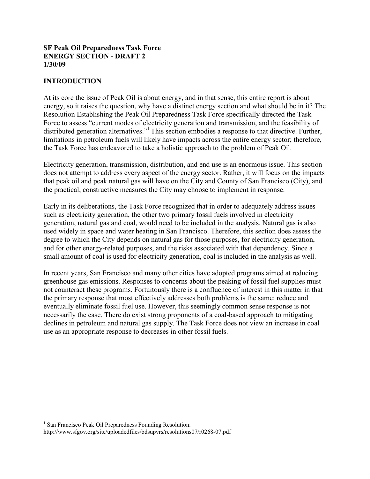#### SF Peak Oil Preparedness Task Force ENERGY SECTION - DRAFT 2 1/30/09

## INTRODUCTION

At its core the issue of Peak Oil is about energy, and in that sense, this entire report is about energy, so it raises the question, why have a distinct energy section and what should be in it? The Resolution Establishing the Peak Oil Preparedness Task Force specifically directed the Task Force to assess "current modes of electricity generation and transmission, and the feasibility of distributed generation alternatives."<sup>1</sup> This section embodies a response to that directive. Further, limitations in petroleum fuels will likely have impacts across the entire energy sector; therefore, the Task Force has endeavored to take a holistic approach to the problem of Peak Oil.

Electricity generation, transmission, distribution, and end use is an enormous issue. This section does not attempt to address every aspect of the energy sector. Rather, it will focus on the impacts that peak oil and peak natural gas will have on the City and County of San Francisco (City), and the practical, constructive measures the City may choose to implement in response.

Early in its deliberations, the Task Force recognized that in order to adequately address issues such as electricity generation, the other two primary fossil fuels involved in electricity generation, natural gas and coal, would need to be included in the analysis. Natural gas is also used widely in space and water heating in San Francisco. Therefore, this section does assess the degree to which the City depends on natural gas for those purposes, for electricity generation, and for other energy-related purposes, and the risks associated with that dependency. Since a small amount of coal is used for electricity generation, coal is included in the analysis as well.

In recent years, San Francisco and many other cities have adopted programs aimed at reducing greenhouse gas emissions. Responses to concerns about the peaking of fossil fuel supplies must not counteract these programs. Fortuitously there is a confluence of interest in this matter in that the primary response that most effectively addresses both problems is the same: reduce and eventually eliminate fossil fuel use. However, this seemingly common sense response is not necessarily the case. There do exist strong proponents of a coal-based approach to mitigating declines in petroleum and natural gas supply. The Task Force does not view an increase in coal use as an appropriate response to decreases in other fossil fuels.

 1 San Francisco Peak Oil Preparedness Founding Resolution: http://www.sfgov.org/site/uploadedfiles/bdsupvrs/resolutions07/r0268-07.pdf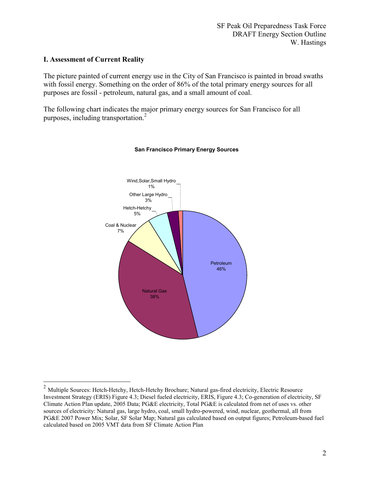#### I. Assessment of Current Reality

 $\overline{a}$ 

The picture painted of current energy use in the City of San Francisco is painted in broad swaths with fossil energy. Something on the order of 86% of the total primary energy sources for all purposes are fossil - petroleum, natural gas, and a small amount of coal.

The following chart indicates the major primary energy sources for San Francisco for all purposes, including transportation.<sup>2</sup>



#### San Francisco Primary Energy Sources

<sup>&</sup>lt;sup>2</sup> Multiple Sources: Hetch-Hetchy, Hetch-Hetchy Brochure; Natural gas-fired electricity, Electric Resource Investment Strategy (ERIS) Figure 4.3; Diesel fueled electricity, ERIS, Figure 4.3; Co-generation of electricity, SF Climate Action Plan update, 2005 Data; PG&E electricity, Total PG&E is calculated from net of uses vs. other sources of electricity: Natural gas, large hydro, coal, small hydro-powered, wind, nuclear, geothermal, all from PG&E 2007 Power Mix; Solar, SF Solar Map; Natural gas calculated based on output figures; Petroleum-based fuel calculated based on 2005 VMT data from SF Climate Action Plan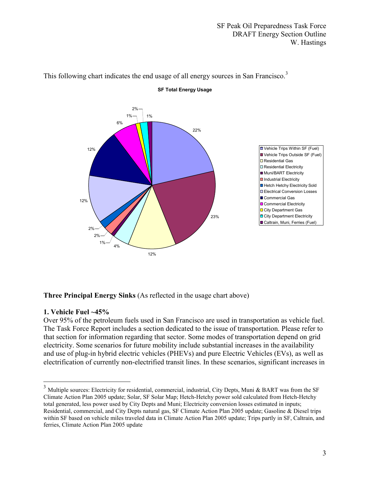

# This following chart indicates the end usage of all energy sources in San Francisco.<sup>3</sup>

SF Total Energy Usage

#### Three Principal Energy Sinks (As reflected in the usage chart above)

#### 1. Vehicle Fuel ~45%

 $\overline{a}$ 

Over 95% of the petroleum fuels used in San Francisco are used in transportation as vehicle fuel. The Task Force Report includes a section dedicated to the issue of transportation. Please refer to that section for information regarding that sector. Some modes of transportation depend on grid electricity. Some scenarios for future mobility include substantial increases in the availability and use of plug-in hybrid electric vehicles (PHEVs) and pure Electric Vehicles (EVs), as well as electrification of currently non-electrified transit lines. In these scenarios, significant increases in

 $3$  Multiple sources: Electricity for residential, commercial, industrial, City Depts, Muni & BART was from the SF Climate Action Plan 2005 update; Solar, SF Solar Map; Hetch-Hetchy power sold calculated from Hetch-Hetchy total generated, less power used by City Depts and Muni; Electricity conversion losses estimated in inputs; Residential, commercial, and City Depts natural gas, SF Climate Action Plan 2005 update; Gasoline & Diesel trips within SF based on vehicle miles traveled data in Climate Action Plan 2005 update; Trips partly in SF, Caltrain, and ferries, Climate Action Plan 2005 update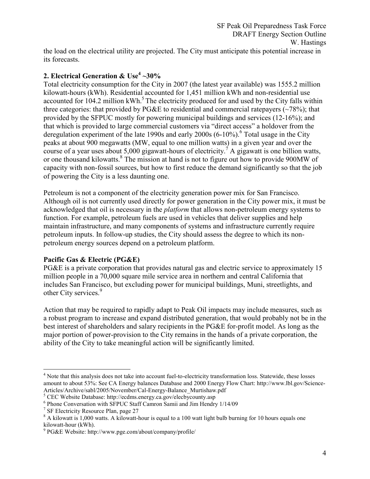the load on the electrical utility are projected. The City must anticipate this potential increase in its forecasts.

# 2. Electrical Generation & Use $^4$  ~30%

Total electricity consumption for the City in 2007 (the latest year available) was 1555.2 million kilowatt-hours (kWh). Residential accounted for 1,451 million kWh and non-residential use accounted for 104.2 million kWh. $<sup>5</sup>$  The electricity produced for and used by the City falls within</sup> three categories: that provided by PG&E to residential and commercial ratepayers  $(\sim 78\%)$ ; that provided by the SFPUC mostly for powering municipal buildings and services (12-16%); and that which is provided to large commercial customers via "direct access" a holdover from the deregulation experiment of the late 1990s and early 2000s (6-10%).<sup>6</sup> Total usage in the City peaks at about 900 megawatts (MW, equal to one million watts) in a given year and over the course of a year uses about 5,000 gigawatt-hours of electricity.<sup>7</sup> A gigawatt is one billion watts, or one thousand kilowatts.<sup>8</sup> The mission at hand is not to figure out how to provide 900MW of capacity with non-fossil sources, but how to first reduce the demand significantly so that the job of powering the City is a less daunting one.

Petroleum is not a component of the electricity generation power mix for San Francisco. Although oil is not currently used directly for power generation in the City power mix, it must be acknowledged that oil is necessary in the platform that allows non-petroleum energy systems to function. For example, petroleum fuels are used in vehicles that deliver supplies and help maintain infrastructure, and many components of systems and infrastructure currently require petroleum inputs. In follow-up studies, the City should assess the degree to which its nonpetroleum energy sources depend on a petroleum platform.

### Pacific Gas & Electric (PG&E)

PG&E is a private corporation that provides natural gas and electric service to approximately 15 million people in a 70,000 square mile service area in northern and central California that includes San Francisco, but excluding power for municipal buildings, Muni, streetlights, and other City services.<sup>9</sup>

Action that may be required to rapidly adapt to Peak Oil impacts may include measures, such as a robust program to increase and expand distributed generation, that would probably not be in the best interest of shareholders and salary recipients in the PG&E for-profit model. As long as the major portion of power-provision to the City remains in the hands of a private corporation, the ability of the City to take meaningful action will be significantly limited.

 $\overline{a}$ <sup>4</sup> Note that this analysis does not take into account fuel-to-electricity transformation loss. Statewide, these losses amount to about 53%: See CA Energy balances Database and 2000 Energy Flow Chart: http://www.lbl.gov/Science-Articles/Archive/sabl/2005/November/Cal-Energy-Balance\_Murtishaw.pdf

<sup>&</sup>lt;sup>5</sup> CEC Website Database: http://ecdms.energy.ca.gov/elecbycounty.asp

<sup>6</sup> Phone Conversation with SFPUC Staff Camron Samii and Jim Hendry 1/14/09

<sup>&</sup>lt;sup>7</sup> SF Electricity Resource Plan, page 27

<sup>&</sup>lt;sup>8</sup> A kilowatt is 1,000 watts. A kilowatt-hour is equal to a 100 watt light bulb burning for 10 hours equals one kilowatt-hour (kWh).

<sup>9</sup> PG&E Website: http://www.pge.com/about/company/profile/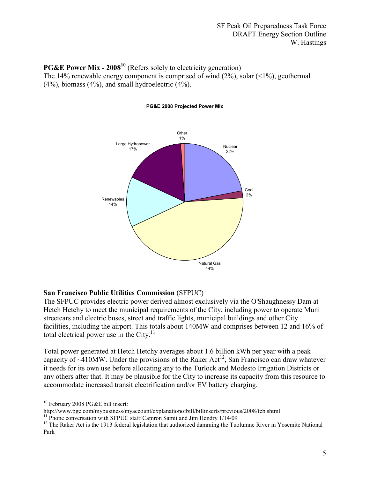# **PG&E Power Mix - 2008<sup>10</sup>** (Refers solely to electricity generation)

The 14% renewable energy component is comprised of wind  $(2\%)$ , solar  $(1\%)$ , geothermal (4%), biomass (4%), and small hydroelectric (4%).



#### PG&E 2008 Projected Power Mix

### San Francisco Public Utilities Commission (SFPUC)

The SFPUC provides electric power derived almost exclusively via the O'Shaughnessy Dam at Hetch Hetchy to meet the municipal requirements of the City, including power to operate Muni streetcars and electric buses, street and traffic lights, municipal buildings and other City facilities, including the airport. This totals about 140MW and comprises between 12 and 16% of total electrical power use in the City.<sup>11</sup>

Total power generated at Hetch Hetchy averages about 1.6 billion kWh per year with a peak capacity of  $\sim$ 410MW. Under the provisions of the Raker Act<sup>12</sup>, San Francisco can draw whatever it needs for its own use before allocating any to the Turlock and Modesto Irrigation Districts or any others after that. It may be plausible for the City to increase its capacity from this resource to accommodate increased transit electrification and/or EV battery charging.

l  $10$  February 2008 PG&E bill insert:

http://www.pge.com/mybusiness/myaccount/explanationofbill/billinserts/previous/2008/feb.shtml

<sup>&</sup>lt;sup>11</sup> Phone conversation with SFPUC staff Camron Samii and Jim Hendry 1/14/09

<sup>&</sup>lt;sup>12</sup> The Raker Act is the 1913 federal legislation that authorized damming the Tuolumne River in Yosemite National Park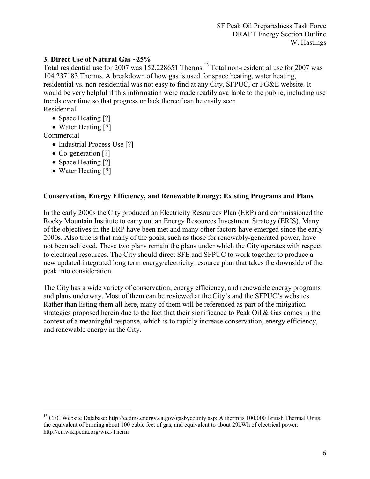## 3. Direct Use of Natural Gas ~25%

Total residential use for 2007 was 152.228651 Therms.<sup>13</sup> Total non-residential use for 2007 was 104.237183 Therms. A breakdown of how gas is used for space heating, water heating, residential vs. non-residential was not easy to find at any City, SFPUC, or PG&E website. It would be very helpful if this information were made readily available to the public, including use trends over time so that progress or lack thereof can be easily seen. Residential

- Space Heating [?]
- Water Heating [?]

Commercial

- Industrial Process Use [?]
- Co-generation [?]
- Space Heating [?]
- Water Heating [?]

### Conservation, Energy Efficiency, and Renewable Energy: Existing Programs and Plans

In the early 2000s the City produced an Electricity Resources Plan (ERP) and commissioned the Rocky Mountain Institute to carry out an Energy Resources Investment Strategy (ERIS). Many of the objectives in the ERP have been met and many other factors have emerged since the early 2000s. Also true is that many of the goals, such as those for renewably-generated power, have not been achieved. These two plans remain the plans under which the City operates with respect to electrical resources. The City should direct SFE and SFPUC to work together to produce a new updated integrated long term energy/electricity resource plan that takes the downside of the peak into consideration.

The City has a wide variety of conservation, energy efficiency, and renewable energy programs and plans underway. Most of them can be reviewed at the City's and the SFPUC's websites. Rather than listing them all here, many of them will be referenced as part of the mitigation strategies proposed herein due to the fact that their significance to Peak Oil & Gas comes in the context of a meaningful response, which is to rapidly increase conservation, energy efficiency, and renewable energy in the City.

 $\overline{a}$ <sup>13</sup> CEC Website Database: http://ecdms.energy.ca.gov/gasbycounty.asp; A therm is 100,000 British Thermal Units, the equivalent of burning about 100 cubic feet of gas, and equivalent to about 29kWh of electrical power: http://en.wikipedia.org/wiki/Therm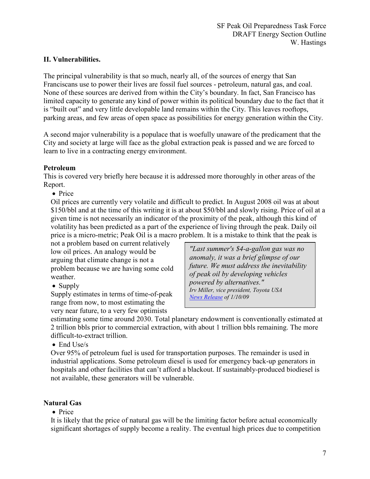# II. Vulnerabilities.

The principal vulnerability is that so much, nearly all, of the sources of energy that San Franciscans use to power their lives are fossil fuel sources - petroleum, natural gas, and coal. None of these sources are derived from within the City's boundary. In fact, San Francisco has limited capacity to generate any kind of power within its political boundary due to the fact that it is "built out" and very little developable land remains within the City. This leaves rooftops, parking areas, and few areas of open space as possibilities for energy generation within the City.

A second major vulnerability is a populace that is woefully unaware of the predicament that the City and society at large will face as the global extraction peak is passed and we are forced to learn to live in a contracting energy environment.

### Petroleum

This is covered very briefly here because it is addressed more thoroughly in other areas of the Report.

• Price

Oil prices are currently very volatile and difficult to predict. In August 2008 oil was at about \$150/bbl and at the time of this writing it is at about \$50/bbl and slowly rising. Price of oil at a given time is not necessarily an indicator of the proximity of the peak, although this kind of volatility has been predicted as a part of the experience of living through the peak. Daily oil price is a micro-metric; Peak Oil is a macro problem. It is a mistake to think that the peak is

not a problem based on current relatively low oil prices. An analogy would be arguing that climate change is not a problem because we are having some cold weather.

• Supply

Supply estimates in terms of time-of-peak range from now, to most estimating the very near future, to a very few optimists

"Last summer's \$4-a-gallon gas was no anomaly, it was a brief glimpse of our future. We must address the inevitability of peak oil by developing vehicles powered by alternatives." Irv Miller, vice president, Toyota USA News Release of 1/10/09

estimating some time around 2030. Total planetary endowment is conventionally estimated at 2 trillion bbls prior to commercial extraction, with about 1 trillion bbls remaining. The more difficult-to-extract trillion.

• End Use/s

Over 95% of petroleum fuel is used for transportation purposes. The remainder is used in industrial applications. Some petroleum diesel is used for emergency back-up generators in hospitals and other facilities that can't afford a blackout. If sustainably-produced biodiesel is not available, these generators will be vulnerable.

### Natural Gas

• Price

It is likely that the price of natural gas will be the limiting factor before actual economically significant shortages of supply become a reality. The eventual high prices due to competition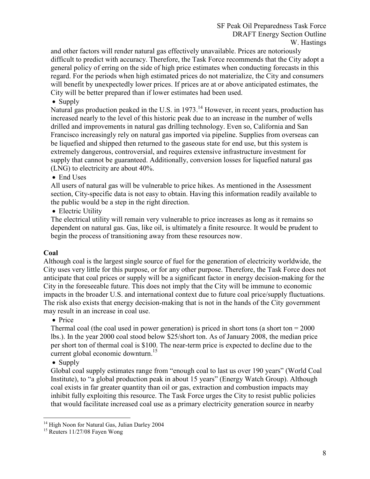and other factors will render natural gas effectively unavailable. Prices are notoriously difficult to predict with accuracy. Therefore, the Task Force recommends that the City adopt a general policy of erring on the side of high price estimates when conducting forecasts in this regard. For the periods when high estimated prices do not materialize, the City and consumers will benefit by unexpectedly lower prices. If prices are at or above anticipated estimates, the City will be better prepared than if lower estimates had been used.

• Supply

Natural gas production peaked in the U.S. in 1973.<sup>14</sup> However, in recent years, production has increased nearly to the level of this historic peak due to an increase in the number of wells drilled and improvements in natural gas drilling technology. Even so, California and San Francisco increasingly rely on natural gas imported via pipeline. Supplies from overseas can be liquefied and shipped then returned to the gaseous state for end use, but this system is extremely dangerous, controversial, and requires extensive infrastructure investment for supply that cannot be guaranteed. Additionally, conversion losses for liquefied natural gas (LNG) to electricity are about 40%.

• End Uses

All users of natural gas will be vulnerable to price hikes. As mentioned in the Assessment section, City-specific data is not easy to obtain. Having this information readily available to the public would be a step in the right direction.

• Electric Utility

The electrical utility will remain very vulnerable to price increases as long as it remains so dependent on natural gas. Gas, like oil, is ultimately a finite resource. It would be prudent to begin the process of transitioning away from these resources now.

# **Coal**

Although coal is the largest single source of fuel for the generation of electricity worldwide, the City uses very little for this purpose, or for any other purpose. Therefore, the Task Force does not anticipate that coal prices or supply will be a significant factor in energy decision-making for the City in the foreseeable future. This does not imply that the City will be immune to economic impacts in the broader U.S. and international context due to future coal price/supply fluctuations. The risk also exists that energy decision-making that is not in the hands of the City government may result in an increase in coal use.

# • Price

Thermal coal (the coal used in power generation) is priced in short tons (a short ton  $= 2000$ lbs.). In the year 2000 coal stood below \$25/short ton. As of January 2008, the median price per short ton of thermal coal is \$100. The near-term price is expected to decline due to the current global economic downturn.<sup>15</sup>

• Supply

Global coal supply estimates range from "enough coal to last us over 190 years" (World Coal Institute), to "a global production peak in about 15 years" (Energy Watch Group). Although coal exists in far greater quantity than oil or gas, extraction and combustion impacts may inhibit fully exploiting this resource. The Task Force urges the City to resist public policies that would facilitate increased coal use as a primary electricity generation source in nearby

 $\overline{a}$ <sup>14</sup> High Noon for Natural Gas, Julian Darley 2004

<sup>&</sup>lt;sup>15</sup> Reuters 11/27/08 Fayen Wong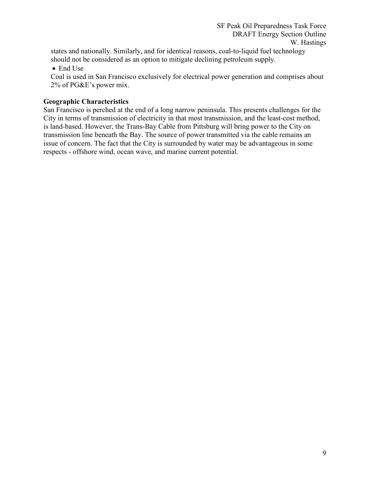states and nationally. Similarly, and for identical reasons, coal-to-liquid fuel technology should not be considered as an option to mitigate declining petroleum supply.

• End Use

Coal is used in San Francisco exclusively for electrical power generation and comprises about 2% of PG&E's power mix.

### Geographic Characteristics

San Francisco is perched at the end of a long narrow peninsula. This presents challenges for the City in terms of transmission of electricity in that most transmission, and the least-cost method, is land-based. However, the Trans-Bay Cable from Pittsburg will bring power to the City on transmission line beneath the Bay. The source of power transmitted via the cable remains an issue of concern. The fact that the City is surrounded by water may be advantageous in some respects - offshore wind, ocean wave, and marine current potential.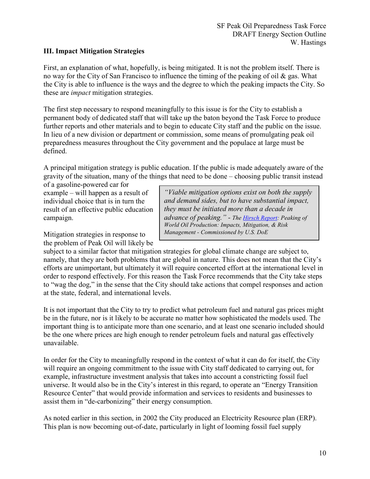## III. Impact Mitigation Strategies

First, an explanation of what, hopefully, is being mitigated. It is not the problem itself. There is no way for the City of San Francisco to influence the timing of the peaking of oil  $\&$  gas. What the City is able to influence is the ways and the degree to which the peaking impacts the City. So these are impact mitigation strategies.

The first step necessary to respond meaningfully to this issue is for the City to establish a permanent body of dedicated staff that will take up the baton beyond the Task Force to produce further reports and other materials and to begin to educate City staff and the public on the issue. In lieu of a new division or department or commission, some means of promulgating peak oil preparedness measures throughout the City government and the populace at large must be defined.

A principal mitigation strategy is public education. If the public is made adequately aware of the gravity of the situation, many of the things that need to be done – choosing public transit instead

of a gasoline-powered car for example – will happen as a result of individual choice that is in turn the result of an effective public education campaign.

Mitigation strategies in response to the problem of Peak Oil will likely be

"Viable mitigation options exist on both the supply and demand sides, but to have substantial impact, they must be initiated more than a decade in advance of peaking." - The Hirsch Report: Peaking of World Oil Production: Impacts, Mitigation, & Risk Management - Commissioned by U.S. DoE

subject to a similar factor that mitigation strategies for global climate change are subject to, namely, that they are both problems that are global in nature. This does not mean that the City's efforts are unimportant, but ultimately it will require concerted effort at the international level in order to respond effectively. For this reason the Task Force recommends that the City take steps to "wag the dog," in the sense that the City should take actions that compel responses and action at the state, federal, and international levels.

It is not important that the City to try to predict what petroleum fuel and natural gas prices might be in the future, nor is it likely to be accurate no matter how sophisticated the models used. The important thing is to anticipate more than one scenario, and at least one scenario included should be the one where prices are high enough to render petroleum fuels and natural gas effectively unavailable.

In order for the City to meaningfully respond in the context of what it can do for itself, the City will require an ongoing commitment to the issue with City staff dedicated to carrying out, for example, infrastructure investment analysis that takes into account a constricting fossil fuel universe. It would also be in the City's interest in this regard, to operate an "Energy Transition Resource Center" that would provide information and services to residents and businesses to assist them in "de-carbonizing" their energy consumption.

As noted earlier in this section, in 2002 the City produced an Electricity Resource plan (ERP). This plan is now becoming out-of-date, particularly in light of looming fossil fuel supply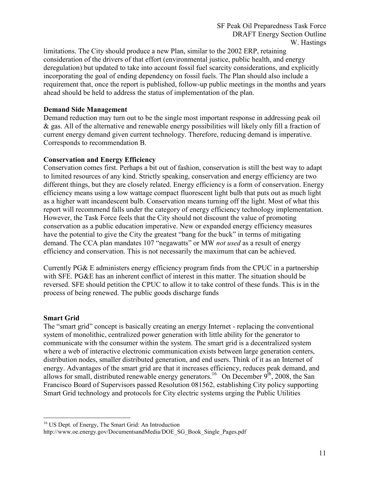limitations. The City should produce a new Plan, similar to the 2002 ERP, retaining consideration of the drivers of that effort (environmental justice, public health, and energy deregulation) but updated to take into account fossil fuel scarcity considerations, and explicitly incorporating the goal of ending dependency on fossil fuels. The Plan should also include a requirement that, once the report is published, follow-up public meetings in the months and years ahead should be held to address the status of implementation of the plan.

#### Demand Side Management

Demand reduction may turn out to be the single most important response in addressing peak oil & gas. All of the alternative and renewable energy possibilities will likely only fill a fraction of current energy demand given current technology. Therefore, reducing demand is imperative. Corresponds to recommendation B.

#### Conservation and Energy Efficiency

Conservation comes first. Perhaps a bit out of fashion, conservation is still the best way to adapt to limited resources of any kind. Strictly speaking, conservation and energy efficiency are two different things, but they are closely related. Energy efficiency is a form of conservation. Energy efficiency means using a low wattage compact fluorescent light bulb that puts out as much light as a higher watt incandescent bulb. Conservation means turning off the light. Most of what this report will recommend falls under the category of energy efficiency technology implementation. However, the Task Force feels that the City should not discount the value of promoting conservation as a public education imperative. New or expanded energy efficiency measures have the potential to give the City the greatest "bang for the buck" in terms of mitigating demand. The CCA plan mandates 107 "negawatts" or MW *not used* as a result of energy efficiency and conservation. This is not necessarily the maximum that can be achieved.

Currently PG& E administers energy efficiency program finds from the CPUC in a partnership with SFE. PG&E has an inherent conflict of interest in this matter. The situation should be reversed. SFE should petition the CPUC to allow it to take control of these funds. This is in the process of being renewed. The public goods discharge funds

### Smart Grid

The "smart grid" concept is basically creating an energy Internet - replacing the conventional system of monolithic, centralized power generation with little ability for the generator to communicate with the consumer within the system. The smart grid is a decentralized system where a web of interactive electronic communication exists between large generation centers, distribution nodes, smaller distributed generation, and end users. Think of it as an Internet of energy. Advantages of the smart grid are that it increases efficiency, reduces peak demand, and allows for small, distributed renewable energy generators.<sup>16</sup> On December  $9<sup>th</sup>$ , 2008, the San Francisco Board of Supervisors passed Resolution 081562, establishing City policy supporting Smart Grid technology and protocols for City electric systems urging the Public Utilities

 $\overline{a}$ <sup>16</sup> US Dept. of Energy, The Smart Grid: An Introduction

http://www.oe.energy.gov/DocumentsandMedia/DOE\_SG\_Book\_Single\_Pages.pdf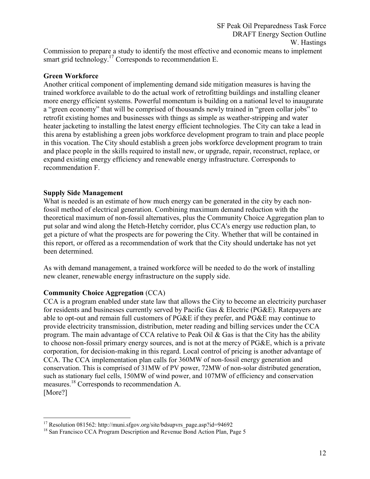Commission to prepare a study to identify the most effective and economic means to implement smart grid technology.<sup>17</sup> Corresponds to recommendation E.

#### Green Workforce

Another critical component of implementing demand side mitigation measures is having the trained workforce available to do the actual work of retrofitting buildings and installing cleaner more energy efficient systems. Powerful momentum is building on a national level to inaugurate a "green economy" that will be comprised of thousands newly trained in "green collar jobs" to retrofit existing homes and businesses with things as simple as weather-stripping and water heater jacketing to installing the latest energy efficient technologies. The City can take a lead in this arena by establishing a green jobs workforce development program to train and place people in this vocation. The City should establish a green jobs workforce development program to train and place people in the skills required to install new, or upgrade, repair, reconstruct, replace, or expand existing energy efficiency and renewable energy infrastructure. Corresponds to recommendation F.

#### Supply Side Management

What is needed is an estimate of how much energy can be generated in the city by each nonfossil method of electrical generation. Combining maximum demand reduction with the theoretical maximum of non-fossil alternatives, plus the Community Choice Aggregation plan to put solar and wind along the Hetch-Hetchy corridor, plus CCA's energy use reduction plan, to get a picture of what the prospects are for powering the City. Whether that will be contained in this report, or offered as a recommendation of work that the City should undertake has not yet been determined.

As with demand management, a trained workforce will be needed to do the work of installing new cleaner, renewable energy infrastructure on the supply side.

### Community Choice Aggregation (CCA)

CCA is a program enabled under state law that allows the City to become an electricity purchaser for residents and businesses currently served by Pacific Gas & Electric (PG&E). Ratepayers are able to opt-out and remain full customers of PG&E if they prefer, and PG&E may continue to provide electricity transmission, distribution, meter reading and billing services under the CCA program. The main advantage of CCA relative to Peak Oil  $\&$  Gas is that the City has the ability to choose non-fossil primary energy sources, and is not at the mercy of PG&E, which is a private corporation, for decision-making in this regard. Local control of pricing is another advantage of CCA. The CCA implementation plan calls for 360MW of non-fossil energy generation and conservation. This is comprised of 31MW of PV power, 72MW of non-solar distributed generation, such as stationary fuel cells, 150MW of wind power, and 107MW of efficiency and conservation measures.<sup>18</sup> Corresponds to recommendation A. [More?]

 $\overline{a}$ <sup>17</sup> Resolution 081562: http://muni.sfgov.org/site/bdsupvrs\_page.asp?id=94692

<sup>&</sup>lt;sup>18</sup> San Francisco CCA Program Description and Revenue Bond Action Plan, Page 5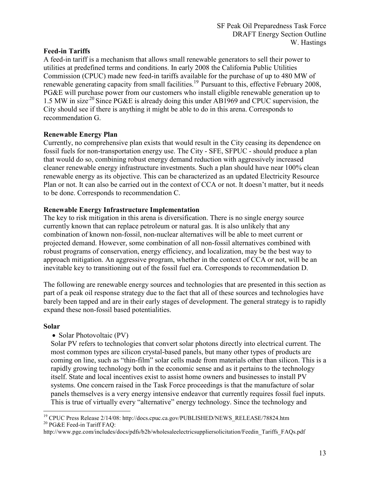### Feed-in Tariffs

A feed-in tariff is a mechanism that allows small renewable generators to sell their power to utilities at predefined terms and conditions. In early 2008 the California Public Utilities Commission (CPUC) made new feed-in tariffs available for the purchase of up to 480 MW of renewable generating capacity from small facilities.<sup>19</sup> Pursuant to this, effective February 2008, PG&E will purchase power from our customers who install eligible renewable generation up to 1.5 MW in size<sup>20</sup> Since PG&E is already doing this under AB1969 and CPUC supervision, the City should see if there is anything it might be able to do in this arena. Corresponds to recommendation G.

## Renewable Energy Plan

Currently, no comprehensive plan exists that would result in the City ceasing its dependence on fossil fuels for non-transportation energy use. The City - SFE, SFPUC - should produce a plan that would do so, combining robust energy demand reduction with aggressively increased cleaner renewable energy infrastructure investments. Such a plan should have near 100% clean renewable energy as its objective. This can be characterized as an updated Electricity Resource Plan or not. It can also be carried out in the context of CCA or not. It doesn't matter, but it needs to be done. Corresponds to recommendation C.

## Renewable Energy Infrastructure Implementation

The key to risk mitigation in this arena is diversification. There is no single energy source currently known that can replace petroleum or natural gas. It is also unlikely that any combination of known non-fossil, non-nuclear alternatives will be able to meet current or projected demand. However, some combination of all non-fossil alternatives combined with robust programs of conservation, energy efficiency, and localization, may be the best way to approach mitigation. An aggressive program, whether in the context of CCA or not, will be an inevitable key to transitioning out of the fossil fuel era. Corresponds to recommendation D.

The following are renewable energy sources and technologies that are presented in this section as part of a peak oil response strategy due to the fact that all of these sources and technologies have barely been tapped and are in their early stages of development. The general strategy is to rapidly expand these non-fossil based potentialities.

### Solar

### • Solar Photovoltaic (PV)

Solar PV refers to technologies that convert solar photons directly into electrical current. The most common types are silicon crystal-based panels, but many other types of products are coming on line, such as "thin-film" solar cells made from materials other than silicon. This is a rapidly growing technology both in the economic sense and as it pertains to the technology itself. State and local incentives exist to assist home owners and businesses to install PV systems. One concern raised in the Task Force proceedings is that the manufacture of solar panels themselves is a very energy intensive endeavor that currently requires fossil fuel inputs. This is true of virtually every "alternative" energy technology. Since the technology and

 $\overline{a}$ <sup>19</sup> CPUC Press Release 2/14/08: http://docs.cpuc.ca.gov/PUBLISHED/NEWS\_RELEASE/78824.htm <sup>20</sup> PG&E Feed-in Tariff FAQ:

http://www.pge.com/includes/docs/pdfs/b2b/wholesaleelectricsuppliersolicitation/Feedin\_Tariffs\_FAQs.pdf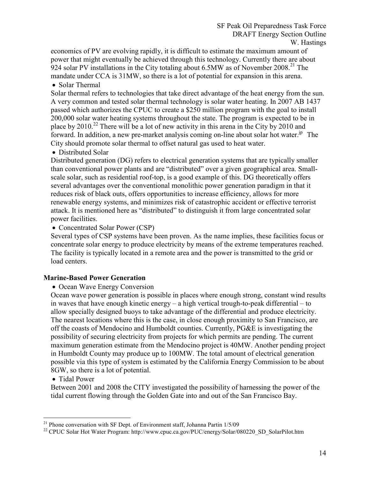economics of PV are evolving rapidly, it is difficult to estimate the maximum amount of power that might eventually be achieved through this technology. Currently there are about 924 solar PV installations in the City totaling about 6.5MW as of November 2008.<sup>21</sup> The mandate under CCA is 31MW, so there is a lot of potential for expansion in this arena.

• Solar Thermal

Solar thermal refers to technologies that take direct advantage of the heat energy from the sun. A very common and tested solar thermal technology is solar water heating. In 2007 AB 1437 passed which authorizes the CPUC to create a \$250 million program with the goal to install 200,000 solar water heating systems throughout the state. The program is expected to be in place by 2010.<sup>22</sup> There will be a lot of new activity in this arena in the City by 2010 and forward. In addition, a new pre-market analysis coming on-line about solar hot water.<sup>jp</sup> The City should promote solar thermal to offset natural gas used to heat water.

• Distributed Solar

Distributed generation (DG) refers to electrical generation systems that are typically smaller than conventional power plants and are "distributed" over a given geographical area. Smallscale solar, such as residential roof-top, is a good example of this. DG theoretically offers several advantages over the conventional monolithic power generation paradigm in that it reduces risk of black outs, offers opportunities to increase efficiency, allows for more renewable energy systems, and minimizes risk of catastrophic accident or effective terrorist attack. It is mentioned here as "distributed" to distinguish it from large concentrated solar power facilities.

#### • Concentrated Solar Power (CSP)

Several types of CSP systems have been proven. As the name implies, these facilities focus or concentrate solar energy to produce electricity by means of the extreme temperatures reached. The facility is typically located in a remote area and the power is transmitted to the grid or load centers.

### Marine-Based Power Generation

• Ocean Wave Energy Conversion

Ocean wave power generation is possible in places where enough strong, constant wind results in waves that have enough kinetic energy – a high vertical trough-to-peak differential – to allow specially designed buoys to take advantage of the differential and produce electricity. The nearest locations where this is the case, in close enough proximity to San Francisco, are off the coasts of Mendocino and Humboldt counties. Currently, PG&E is investigating the possibility of securing electricity from projects for which permits are pending. The current maximum generation estimate from the Mendocino project is 40MW. Another pending project in Humboldt County may produce up to 100MW. The total amount of electrical generation possible via this type of system is estimated by the California Energy Commission to be about 8GW, so there is a lot of potential.

### • Tidal Power

 $\overline{a}$ 

Between 2001 and 2008 the CITY investigated the possibility of harnessing the power of the tidal current flowing through the Golden Gate into and out of the San Francisco Bay.

<sup>&</sup>lt;sup>21</sup> Phone conversation with SF Dept. of Environment staff, Johanna Partin 1/5/09

<sup>&</sup>lt;sup>22</sup> CPUC Solar Hot Water Program: http://www.cpuc.ca.gov/PUC/energy/Solar/080220\_SD\_SolarPilot.htm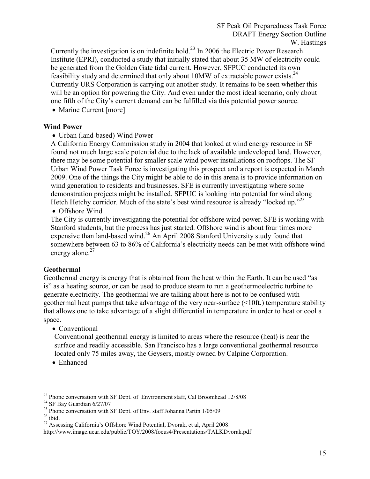Currently the investigation is on indefinite hold.<sup>23</sup> In 2006 the Electric Power Research Institute (EPRI), conducted a study that initially stated that about 35 MW of electricity could be generated from the Golden Gate tidal current. However, SFPUC conducted its own feasibility study and determined that only about  $10MW$  of extractable power exists.<sup>24</sup> Currently URS Corporation is carrying out another study. It remains to be seen whether this will be an option for powering the City. And even under the most ideal scenario, only about one fifth of the City's current demand can be fulfilled via this potential power source.

• Marine Current [more]

## Wind Power

• Urban (land-based) Wind Power

A California Energy Commission study in 2004 that looked at wind energy resource in SF found not much large scale potential due to the lack of available undeveloped land. However, there may be some potential for smaller scale wind power installations on rooftops. The SF Urban Wind Power Task Force is investigating this prospect and a report is expected in March 2009. One of the things the City might be able to do in this arena is to provide information on wind generation to residents and businesses. SFE is currently investigating where some demonstration projects might be installed. SFPUC is looking into potential for wind along Hetch Hetchy corridor. Much of the state's best wind resource is already "locked up."<sup>25</sup>

• Offshore Wind

The City is currently investigating the potential for offshore wind power. SFE is working with Stanford students, but the process has just started. Offshore wind is about four times more expensive than land-based wind.<sup>26</sup> An April 2008 Stanford University study found that somewhere between 63 to 86% of California's electricity needs can be met with offshore wind energy alone.<sup>27</sup>

### Geothermal

Geothermal energy is energy that is obtained from the heat within the Earth. It can be used "as is" as a heating source, or can be used to produce steam to run a geothermoelectric turbine to generate electricity. The geothermal we are talking about here is not to be confused with geothermal heat pumps that take advantage of the very near-surface (<10ft.) temperature stability that allows one to take advantage of a slight differential in temperature in order to heat or cool a space.

# • Conventional

Conventional geothermal energy is limited to areas where the resource (heat) is near the surface and readily accessible. San Francisco has a large conventional geothermal resource located only 75 miles away, the Geysers, mostly owned by Calpine Corporation.

• Enhanced

 $\overline{a}$ 

<sup>&</sup>lt;sup>23</sup> Phone conversation with SF Dept. of Environment staff, Cal Broomhead 12/8/08

 $^{24}$  SF Bay Guardian 6/27/07

 $^{25}$  Phone conversation with SF Dept. of Env. staff Johanna Partin  $1/05/09$ 

 $26$  ibid.

<sup>&</sup>lt;sup>27</sup> Assessing California's Offshore Wind Potential, Dvorak, et al, April 2008:

http://www.image.ucar.edu/public/TOY/2008/focus4/Presentations/TALKDvorak.pdf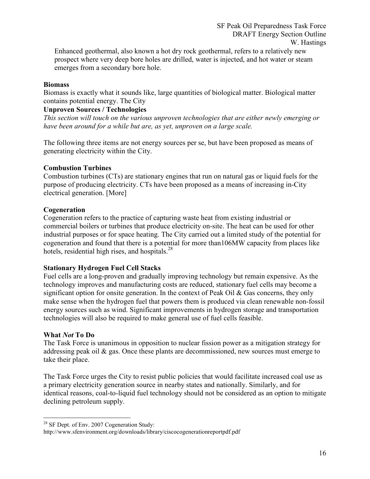Enhanced geothermal, also known a hot dry rock geothermal, refers to a relatively new prospect where very deep bore holes are drilled, water is injected, and hot water or steam emerges from a secondary bore hole.

#### **Biomass**

Biomass is exactly what it sounds like, large quantities of biological matter. Biological matter contains potential energy. The City

#### Unproven Sources / Technologies

This section will touch on the various unproven technologies that are either newly emerging or have been around for a while but are, as yet, unproven on a large scale.

The following three items are not energy sources per se, but have been proposed as means of generating electricity within the City.

#### Combustion Turbines

Combustion turbines (CTs) are stationary engines that run on natural gas or liquid fuels for the purpose of producing electricity. CTs have been proposed as a means of increasing in-City electrical generation. [More]

#### Cogeneration

Cogeneration refers to the practice of capturing waste heat from existing industrial or commercial boilers or turbines that produce electricity on-site. The heat can be used for other industrial purposes or for space heating. The City carried out a limited study of the potential for cogeneration and found that there is a potential for more than106MW capacity from places like hotels, residential high rises, and hospitals.<sup>28</sup>

### Stationary Hydrogen Fuel Cell Stacks

Fuel cells are a long-proven and gradually improving technology but remain expensive. As the technology improves and manufacturing costs are reduced, stationary fuel cells may become a significant option for onsite generation. In the context of Peak Oil & Gas concerns, they only make sense when the hydrogen fuel that powers them is produced via clean renewable non-fossil energy sources such as wind. Significant improvements in hydrogen storage and transportation technologies will also be required to make general use of fuel cells feasible.

#### What Not To Do

 $\overline{a}$ 

The Task Force is unanimous in opposition to nuclear fission power as a mitigation strategy for addressing peak oil  $\&$  gas. Once these plants are decommissioned, new sources must emerge to take their place.

The Task Force urges the City to resist public policies that would facilitate increased coal use as a primary electricity generation source in nearby states and nationally. Similarly, and for identical reasons, coal-to-liquid fuel technology should not be considered as an option to mitigate declining petroleum supply.

<sup>&</sup>lt;sup>28</sup> SF Dept. of Env. 2007 Cogeneration Study:

http://www.sfenvironment.org/downloads/library/ciscocogenerationreportpdf.pdf